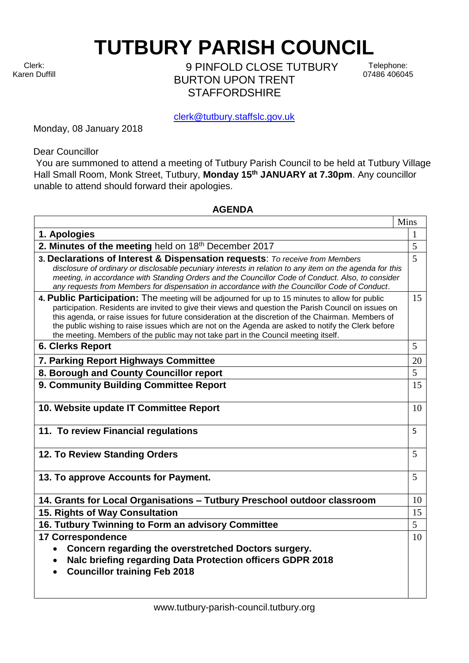Clerk: Karen Duffill **TUTBURY PARISH COUNCIL** 

9 PINFOLD CLOSE TUTBURY BURTON UPON TRENT **STAFFORDSHIRF** 

Telephone: 07486 406045

clerk@tutbury.staffslc.gov.uk

Monday, 08 January 2018

Dear Councillor

You are summoned to attend a meeting of Tutbury Parish Council to be held at Tutbury Village Hall Small Room, Monk Street, Tutbury, **Monday 15 th JANUARY at 7.30pm**. Any councillor unable to attend should forward their apologies.

## **AGENDA**

|                                                                                                                                                                                                                                                                                                                                                                                                                                                                                                               | Mins |
|---------------------------------------------------------------------------------------------------------------------------------------------------------------------------------------------------------------------------------------------------------------------------------------------------------------------------------------------------------------------------------------------------------------------------------------------------------------------------------------------------------------|------|
| 1. Apologies                                                                                                                                                                                                                                                                                                                                                                                                                                                                                                  | 1    |
| 2. Minutes of the meeting held on 18th December 2017                                                                                                                                                                                                                                                                                                                                                                                                                                                          | 5    |
| 3. Declarations of Interest & Dispensation requests: To receive from Members<br>disclosure of ordinary or disclosable pecuniary interests in relation to any item on the agenda for this<br>meeting, in accordance with Standing Orders and the Councillor Code of Conduct. Also, to consider<br>any requests from Members for dispensation in accordance with the Councillor Code of Conduct.                                                                                                                | 5    |
| 4. Public Participation: The meeting will be adjourned for up to 15 minutes to allow for public<br>participation. Residents are invited to give their views and question the Parish Council on issues on<br>this agenda, or raise issues for future consideration at the discretion of the Chairman. Members of<br>the public wishing to raise issues which are not on the Agenda are asked to notify the Clerk before<br>the meeting. Members of the public may not take part in the Council meeting itself. | 15   |
| <b>6. Clerks Report</b>                                                                                                                                                                                                                                                                                                                                                                                                                                                                                       | 5    |
| 7. Parking Report Highways Committee                                                                                                                                                                                                                                                                                                                                                                                                                                                                          | 20   |
| 8. Borough and County Councillor report                                                                                                                                                                                                                                                                                                                                                                                                                                                                       | 5    |
| 9. Community Building Committee Report                                                                                                                                                                                                                                                                                                                                                                                                                                                                        | 15   |
| 10. Website update IT Committee Report                                                                                                                                                                                                                                                                                                                                                                                                                                                                        | 10   |
| 11. To review Financial regulations                                                                                                                                                                                                                                                                                                                                                                                                                                                                           | 5    |
| 12. To Review Standing Orders                                                                                                                                                                                                                                                                                                                                                                                                                                                                                 | 5    |
| 13. To approve Accounts for Payment.                                                                                                                                                                                                                                                                                                                                                                                                                                                                          | 5    |
| 14. Grants for Local Organisations - Tutbury Preschool outdoor classroom                                                                                                                                                                                                                                                                                                                                                                                                                                      | 10   |
| 15. Rights of Way Consultation                                                                                                                                                                                                                                                                                                                                                                                                                                                                                | 15   |
| 16. Tutbury Twinning to Form an advisory Committee                                                                                                                                                                                                                                                                                                                                                                                                                                                            | 5    |
| <b>17 Correspondence</b><br>Concern regarding the overstretched Doctors surgery.<br>Nalc briefing regarding Data Protection officers GDPR 2018<br>$\bullet$<br><b>Councillor training Feb 2018</b>                                                                                                                                                                                                                                                                                                            | 10   |